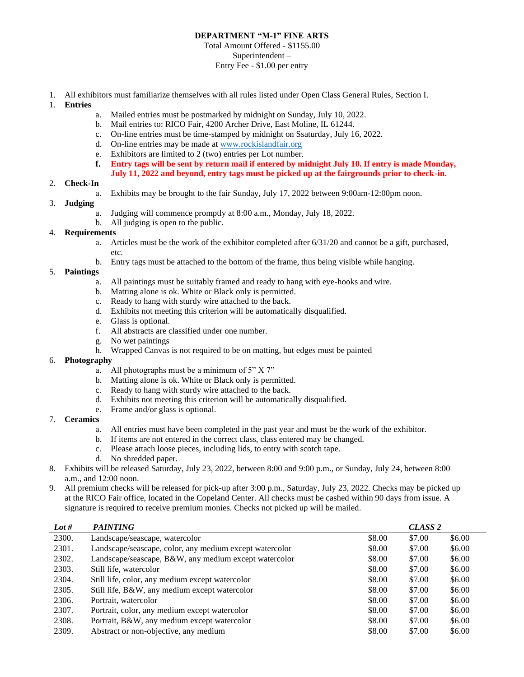# **DEPARTMENT "M-1" FINE ARTS**

### Total Amount Offered - \$1155.00 Superintendent – Entry Fee - \$1.00 per entry

- 1. All exhibitors must familiarize themselves with all rules listed under Open Class General Rules, Section I.
- 1. **Entries**
	- a. Mailed entries must be postmarked by midnight on Sunday, July 10, 2022.
	- b. Mail entries to: RICO Fair, 4200 Archer Drive, East Moline, IL 61244.
	- c. On-line entries must be time-stamped by midnight on Ssaturday, July 16, 2022.
	- d. On-line entries may be made at [www.rockislandfair.org](http://www.rockislandfair.org/)
	- e. Exhibitors are limited to 2 (two) entries per Lot number.
	- **f. Entry tags will be sent by return mail if entered by midnight July 10. If entry is made Monday,**
	- **July 11, 2022 and beyond, entry tags must be picked up at the fairgrounds prior to check-in.**

#### 2. **Check-In**

a. Exhibits may be brought to the fair Sunday, July 17, 2022 between 9:00am-12:00pm noon.

## 3. **Judging**

- a. Judging will commence promptly at 8:00 a.m., Monday, July 18, 2022.
- b. All judging is open to the public.

#### 4. **Requirements**

- a. Articles must be the work of the exhibitor completed after 6/31/20 and cannot be a gift, purchased, etc.
- b. Entry tags must be attached to the bottom of the frame, thus being visible while hanging.

## 5. **Paintings**

- a. All paintings must be suitably framed and ready to hang with eye-hooks and wire.
- b. Matting alone is ok. White or Black only is permitted.
- c. Ready to hang with sturdy wire attached to the back.
- d. Exhibits not meeting this criterion will be automatically disqualified.
- e. Glass is optional.
- f. All abstracts are classified under one number.
- g. No wet paintings
- h. Wrapped Canvas is not required to be on matting, but edges must be painted

## 6. **Photography**

- a. All photographs must be a minimum of 5" X 7"
- b. Matting alone is ok. White or Black only is permitted.
- c. Ready to hang with sturdy wire attached to the back.
- d. Exhibits not meeting this criterion will be automatically disqualified.
- e. Frame and/or glass is optional.

## 7. **Ceramics**

- a. All entries must have been completed in the past year and must be the work of the exhibitor.
- b. If items are not entered in the correct class, class entered may be changed.
- c. Please attach loose pieces, including lids, to entry with scotch tape.
- d. No shredded paper.
- 8. Exhibits will be released Saturday, July 23, 2022, between 8:00 and 9:00 p.m., or Sunday, July 24, between 8:00 a.m., and 12:00 noon.
- 9. All premium checks will be released for pick-up after 3:00 p.m., Saturday, July 23, 2022. Checks may be picked up at the RICO Fair office, located in the Copeland Center. All checks must be cashed within 90 days from issue. A signature is required to receive premium monies. Checks not picked up will be mailed.

| Lot # | <b>PAINTING</b>                                         |        | CLASS <sub>2</sub> |        |
|-------|---------------------------------------------------------|--------|--------------------|--------|
| 2300. | Landscape/seascape, watercolor                          | \$8.00 | \$7.00             | \$6.00 |
| 2301. | Landscape/seascape, color, any medium except watercolor | \$8.00 | \$7.00             | \$6.00 |
| 2302. | Landscape/seascape, B&W, any medium except watercolor   | \$8.00 | \$7.00             | \$6.00 |
| 2303. | Still life, watercolor                                  | \$8.00 | \$7.00             | \$6.00 |
| 2304. | Still life, color, any medium except watercolor         | \$8.00 | \$7.00             | \$6.00 |
| 2305. | Still life, B&W, any medium except watercolor           | \$8.00 | \$7.00             | \$6.00 |
| 2306. | Portrait, watercolor                                    | \$8.00 | \$7.00             | \$6.00 |
| 2307. | Portrait, color, any medium except watercolor           | \$8.00 | \$7.00             | \$6.00 |
| 2308. | Portrait, B&W, any medium except watercolor             | \$8.00 | \$7.00             | \$6.00 |
| 2309. | Abstract or non-objective, any medium                   | \$8.00 | \$7.00             | \$6.00 |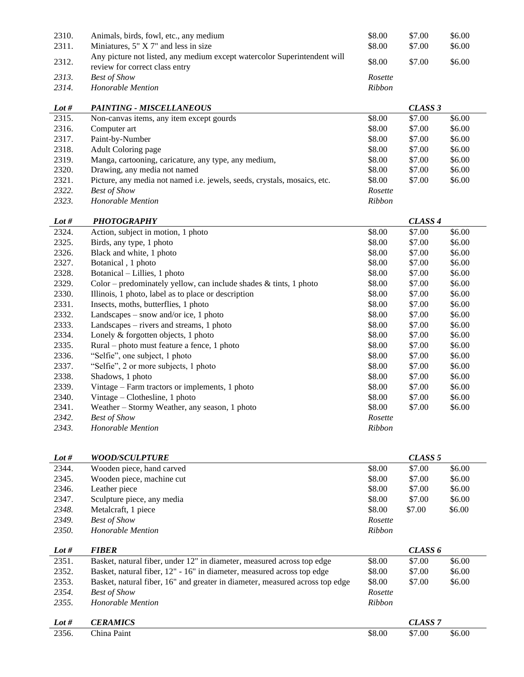| 2310. | Animals, birds, fowl, etc., any medium                                                                     | \$8.00  | \$7.00 | \$6.00 |
|-------|------------------------------------------------------------------------------------------------------------|---------|--------|--------|
| 2311. | Miniatures, $5''$ X 7" and less in size                                                                    | \$8.00  | \$7.00 | \$6.00 |
| 2312. | Any picture not listed, any medium except watercolor Superintendent will<br>review for correct class entry | \$8.00  | \$7.00 | \$6.00 |
| 2313. | <b>Best of Show</b>                                                                                        | Rosette |        |        |
| 2314. | Honorable Mention                                                                                          | Ribbon  |        |        |

| Lot # | <b>PAINTING - MISCELLANEOUS</b>                                          |               | CLASS 3 |        |
|-------|--------------------------------------------------------------------------|---------------|---------|--------|
| 2315. | Non-canvas items, any item except gourds                                 | \$8.00        | \$7.00  | \$6.00 |
| 2316. | Computer art                                                             | \$8.00        | \$7.00  | \$6.00 |
| 2317. | Paint-by-Number                                                          | \$8.00        | \$7.00  | \$6.00 |
| 2318. | Adult Coloring page                                                      | \$8.00        | \$7.00  | \$6.00 |
| 2319. | Manga, cartooning, caricature, any type, any medium,                     | \$8.00        | \$7.00  | \$6.00 |
| 2320. | Drawing, any media not named                                             | \$8.00        | \$7.00  | \$6.00 |
| 2321. | Picture, any media not named i.e. jewels, seeds, crystals, mosaics, etc. | \$8.00        | \$7.00  | \$6.00 |
| 2322. | <b>Best of Show</b>                                                      | Rosette       |         |        |
| 2323. | Honorable Mention                                                        | <b>Ribbon</b> |         |        |

| Lot # | <b>PHOTOGRAPHY</b>                                                   |               | CLASS <sub>4</sub> |        |
|-------|----------------------------------------------------------------------|---------------|--------------------|--------|
| 2324. | Action, subject in motion, 1 photo                                   | \$8.00        | \$7.00             | \$6.00 |
| 2325. | Birds, any type, 1 photo                                             | \$8.00        | \$7.00             | \$6.00 |
| 2326. | Black and white, 1 photo                                             | \$8.00        | \$7.00             | \$6.00 |
| 2327. | Botanical, 1 photo                                                   | \$8.00        | \$7.00             | \$6.00 |
| 2328. | Botanical – Lillies, 1 photo                                         | \$8.00        | \$7.00             | \$6.00 |
| 2329. | Color – predominately yellow, can include shades $\&$ tints, 1 photo | \$8.00        | \$7.00             | \$6.00 |
| 2330. | Illinois, 1 photo, label as to place or description                  | \$8.00        | \$7.00             | \$6.00 |
| 2331. | Insects, moths, butterflies, 1 photo                                 | \$8.00        | \$7.00             | \$6.00 |
| 2332. | Landscapes $-$ snow and/or ice, 1 photo                              | \$8.00        | \$7.00             | \$6.00 |
| 2333. | Landscapes – rivers and streams, 1 photo                             | \$8.00        | \$7.00             | \$6.00 |
| 2334. | Lonely & forgotten objects, 1 photo                                  | \$8.00        | \$7.00             | \$6.00 |
| 2335. | Rural – photo must feature a fence, 1 photo                          | \$8.00        | \$7.00             | \$6.00 |
| 2336. | "Selfie", one subject, 1 photo                                       | \$8.00        | \$7.00             | \$6.00 |
| 2337. | "Selfie", 2 or more subjects, 1 photo                                | \$8.00        | \$7.00             | \$6.00 |
| 2338. | Shadows, 1 photo                                                     | \$8.00        | \$7.00             | \$6.00 |
| 2339. | Vintage – Farm tractors or implements, 1 photo                       | \$8.00        | \$7.00             | \$6.00 |
| 2340. | Vintage $-$ Clothesline, 1 photo                                     | \$8.00        | \$7.00             | \$6.00 |
| 2341. | Weather – Stormy Weather, any season, 1 photo                        | \$8.00        | \$7.00             | \$6.00 |
| 2342. | <b>Best of Show</b>                                                  | Rosette       |                    |        |
| 2343. | <b>Honorable Mention</b>                                             | <b>Ribbon</b> |                    |        |

| Lot # | <i>WOOD/SCULPTURE</i>                                                        |               | CLASS 5            |        |
|-------|------------------------------------------------------------------------------|---------------|--------------------|--------|
| 2344. | Wooden piece, hand carved                                                    | \$8.00        | \$7.00             | \$6.00 |
| 2345. | Wooden piece, machine cut                                                    | \$8.00        | \$7.00             | \$6.00 |
| 2346. | Leather piece                                                                | \$8.00        | \$7.00             | \$6.00 |
| 2347. | Sculpture piece, any media                                                   | \$8.00        | \$7.00             | \$6.00 |
| 2348. | Metalcraft, 1 piece                                                          | \$8.00        | \$7.00             | \$6.00 |
| 2349. | <b>Best of Show</b>                                                          | Rosette       |                    |        |
| 2350. | Honorable Mention                                                            | <b>Ribbon</b> |                    |        |
|       |                                                                              |               |                    |        |
| Lot # | <b>FIBER</b>                                                                 |               | CLASS 6            |        |
| 2351. | Basket, natural fiber, under 12" in diameter, measured across top edge       | \$8.00        | \$7.00             | \$6.00 |
| 2352. | Basket, natural fiber, 12" - 16" in diameter, measured across top edge       | \$8.00        | \$7.00             | \$6.00 |
| 2353. | Basket, natural fiber, 16" and greater in diameter, measured across top edge | \$8.00        | \$7.00             | \$6.00 |
| 2354. | <b>Best of Show</b>                                                          | Rosette       |                    |        |
| 2355. | Honorable Mention                                                            | Ribbon        |                    |        |
|       |                                                                              |               |                    |        |
| Lot # | <b>CERAMICS</b>                                                              |               | CLASS <sub>7</sub> |        |
| 2356. | China Paint                                                                  | \$8.00        | \$7.00             | \$6.00 |
|       |                                                                              |               |                    |        |